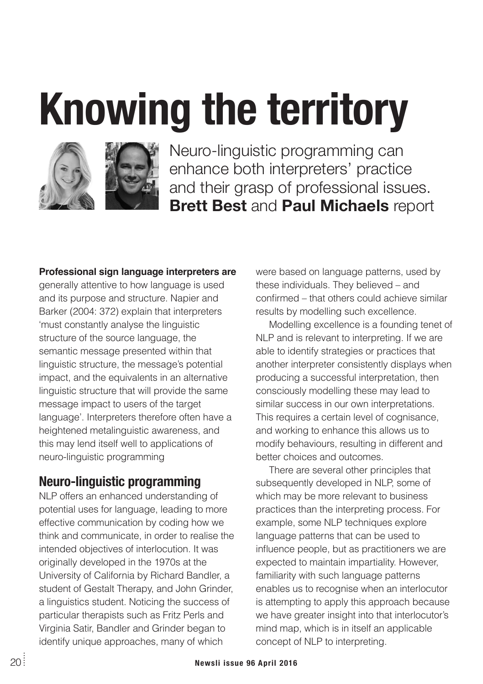# **Knowing the territory**





Neuro-linguistic programming can enhance both interpreters' practice and their grasp of professional issues. **Brett Best** and **Paul Michaels** report

#### **Professional sign language interpreters are**

generally attentive to how language is used and its purpose and structure. Napier and Barker (2004: 372) explain that interpreters 'must constantly analyse the linguistic structure of the source language, the semantic message presented within that linguistic structure, the message's potential impact, and the equivalents in an alternative linguistic structure that will provide the same message impact to users of the target language'. Interpreters therefore often have a heightened metalinguistic awareness, and this may lend itself well to applications of neuro-linguistic programming

#### **Neuro-linguistic programming**

NLP offers an enhanced understanding of potential uses for language, leading to more effective communication by coding how we think and communicate, in order to realise the intended objectives of interlocution. It was originally developed in the 1970s at the University of California by Richard Bandler, a student of Gestalt Therapy, and John Grinder, a linguistics student. Noticing the success of particular therapists such as Fritz Perls and Virginia Satir, Bandler and Grinder began to identify unique approaches, many of which

were based on language patterns, used by these individuals. They believed – and confirmed – that others could achieve similar results by modelling such excellence.

Modelling excellence is a founding tenet of NLP and is relevant to interpreting. If we are able to identify strategies or practices that another interpreter consistently displays when producing a successful interpretation, then consciously modelling these may lead to similar success in our own interpretations. This requires a certain level of cognisance, and working to enhance this allows us to modify behaviours, resulting in different and better choices and outcomes.

There are several other principles that subsequently developed in NLP, some of which may be more relevant to business practices than the interpreting process. For example, some NLP techniques explore language patterns that can be used to influence people, but as practitioners we are expected to maintain impartiality. However, familiarity with such language patterns enables us to recognise when an interlocutor is attempting to apply this approach because we have greater insight into that interlocutor's mind map, which is in itself an applicable concept of NLP to interpreting.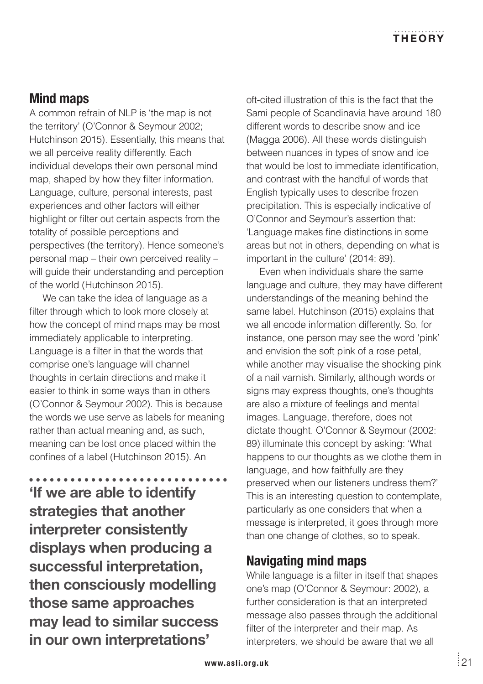# **Mind maps**

A common refrain of NLP is 'the map is not the territory' (O'Connor & Seymour 2002; Hutchinson 2015). Essentially, this means that we all perceive reality differently. Each individual develops their own personal mind map, shaped by how they filter information. Language, culture, personal interests, past experiences and other factors will either highlight or filter out certain aspects from the totality of possible perceptions and perspectives (the territory). Hence someone's personal map – their own perceived reality – will guide their understanding and perception of the world (Hutchinson 2015).

We can take the idea of language as a filter through which to look more closely at how the concept of mind maps may be most immediately applicable to interpreting. Language is a filter in that the words that comprise one's language will channel thoughts in certain directions and make it easier to think in some ways than in others (O'Connor & Seymour 2002). This is because the words we use serve as labels for meaning rather than actual meaning and, as such, meaning can be lost once placed within the confines of a label (Hutchinson 2015). An

------------**'If we are able to identify strategies that another interpreter consistently displays when producing a successful interpretation, then consciously modelling those same approaches may lead to similar success in our own interpretations'**

oft-cited illustration of this is the fact that the Sami people of Scandinavia have around 180 different words to describe snow and ice (Magga 2006). All these words distinguish between nuances in types of snow and ice that would be lost to immediate identification, and contrast with the handful of words that English typically uses to describe frozen precipitation. This is especially indicative of O'Connor and Seymour's assertion that: 'Language makes fine distinctions in some areas but not in others, depending on what is important in the culture' (2014: 89).

Even when individuals share the same language and culture, they may have different understandings of the meaning behind the same label. Hutchinson (2015) explains that we all encode information differently. So, for instance, one person may see the word 'pink' and envision the soft pink of a rose petal, while another may visualise the shocking pink of a nail varnish. Similarly, although words or signs may express thoughts, one's thoughts are also a mixture of feelings and mental images. Language, therefore, does not dictate thought. O'Connor & Seymour (2002: 89) illuminate this concept by asking: 'What happens to our thoughts as we clothe them in language, and how faithfully are they preserved when our listeners undress them?' This is an interesting question to contemplate, particularly as one considers that when a message is interpreted, it goes through more than one change of clothes, so to speak.

# **Navigating mind maps**

While language is a filter in itself that shapes one's map (O'Connor & Seymour: 2002), a further consideration is that an interpreted message also passes through the additional filter of the interpreter and their map. As interpreters, we should be aware that we all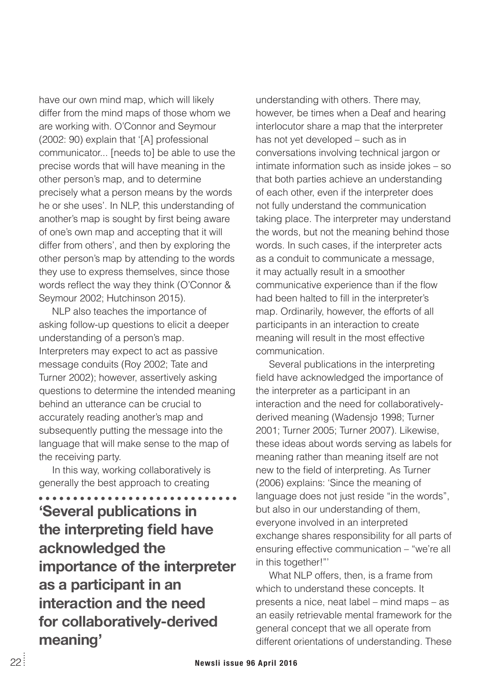have our own mind map, which will likely differ from the mind maps of those whom we are working with. O'Connor and Seymour (2002: 90) explain that '[A] professional communicator... [needs to] be able to use the precise words that will have meaning in the other person's map, and to determine precisely what a person means by the words he or she uses'. In NLP, this understanding of another's map is sought by first being aware of one's own map and accepting that it will differ from others', and then by exploring the other person's map by attending to the words they use to express themselves, since those words reflect the way they think (O'Connor & Seymour 2002; Hutchinson 2015).

NLP also teaches the importance of asking follow-up questions to elicit a deeper understanding of a person's map. Interpreters may expect to act as passive message conduits (Roy 2002; Tate and Turner 2002); however, assertively asking questions to determine the intended meaning behind an utterance can be crucial to accurately reading another's map and subsequently putting the message into the language that will make sense to the map of the receiving party.

In this way, working collaboratively is generally the best approach to creating

**..............** a a a an **'Several publications in the interpreting field have acknowledged the importance of the interpreter as a participant in an interaction and the need for collaboratively-derived meaning'**

understanding with others. There may, however, be times when a Deaf and hearing interlocutor share a map that the interpreter has not yet developed – such as in conversations involving technical jargon or intimate information such as inside jokes – so that both parties achieve an understanding of each other, even if the interpreter does not fully understand the communication taking place. The interpreter may understand the words, but not the meaning behind those words. In such cases, if the interpreter acts as a conduit to communicate a message, it may actually result in a smoother communicative experience than if the flow had been halted to fill in the interpreter's map. Ordinarily, however, the efforts of all participants in an interaction to create meaning will result in the most effective communication.

Several publications in the interpreting field have acknowledged the importance of the interpreter as a participant in an interaction and the need for collaborativelyderived meaning (Wadensjo 1998; Turner 2001; Turner 2005; Turner 2007). Likewise, these ideas about words serving as labels for meaning rather than meaning itself are not new to the field of interpreting. As Turner (2006) explains: 'Since the meaning of language does not just reside "in the words", but also in our understanding of them, everyone involved in an interpreted exchange shares responsibility for all parts of ensuring effective communication – "we're all in this together!"'

What NLP offers, then, is a frame from which to understand these concepts. It presents a nice, neat label – mind maps – as an easily retrievable mental framework for the general concept that we all operate from different orientations of understanding. These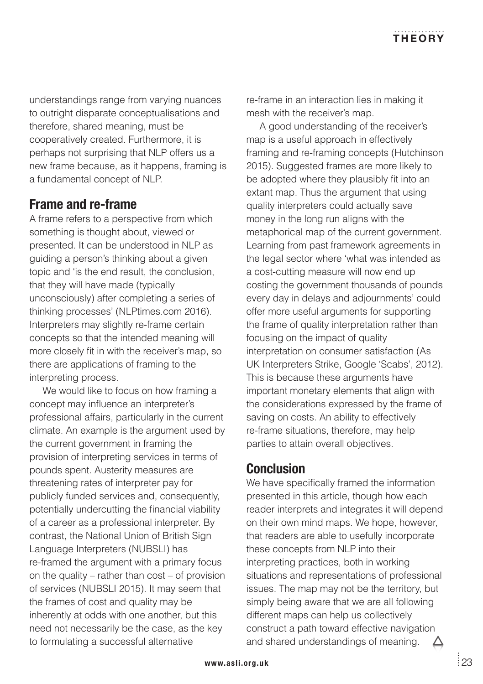understandings range from varying nuances to outright disparate conceptualisations and therefore, shared meaning, must be cooperatively created. Furthermore, it is perhaps not surprising that NLP offers us a new frame because, as it happens, framing is a fundamental concept of NLP.

## **Frame and re-frame**

A frame refers to a perspective from which something is thought about, viewed or presented. It can be understood in NLP as guiding a person's thinking about a given topic and 'is the end result, the conclusion, that they will have made (typically unconsciously) after completing a series of thinking processes' (NLPtimes.com 2016). Interpreters may slightly re-frame certain concepts so that the intended meaning will more closely fit in with the receiver's map, so there are applications of framing to the interpreting process.

We would like to focus on how framing a concept may influence an interpreter's professional affairs, particularly in the current climate. An example is the argument used by the current government in framing the provision of interpreting services in terms of pounds spent. Austerity measures are threatening rates of interpreter pay for publicly funded services and, consequently, potentially undercutting the financial viability of a career as a professional interpreter. By contrast, the National Union of British Sign Language Interpreters (NUBSLI) has re-framed the argument with a primary focus on the quality – rather than cost – of provision of services (NUBSLI 2015). It may seem that the frames of cost and quality may be inherently at odds with one another, but this need not necessarily be the case, as the key to formulating a successful alternative

re-frame in an interaction lies in making it mesh with the receiver's map.

A good understanding of the receiver's map is a useful approach in effectively framing and re-framing concepts (Hutchinson 2015). Suggested frames are more likely to be adopted where they plausibly fit into an extant map. Thus the argument that using quality interpreters could actually save money in the long run aligns with the metaphorical map of the current government. Learning from past framework agreements in the legal sector where 'what was intended as a cost-cutting measure will now end up costing the government thousands of pounds every day in delays and adjournments' could offer more useful arguments for supporting the frame of quality interpretation rather than focusing on the impact of quality interpretation on consumer satisfaction (As UK Interpreters Strike, Google 'Scabs', 2012). This is because these arguments have important monetary elements that align with the considerations expressed by the frame of saving on costs. An ability to effectively re-frame situations, therefore, may help parties to attain overall objectives.

## **Conclusion**

We have specifically framed the information presented in this article, though how each reader interprets and integrates it will depend on their own mind maps. We hope, however, that readers are able to usefully incorporate these concepts from NLP into their interpreting practices, both in working situations and representations of professional issues. The map may not be the territory, but simply being aware that we are all following different maps can help us collectively construct a path toward effective navigation and shared understandings of meaning. Δ